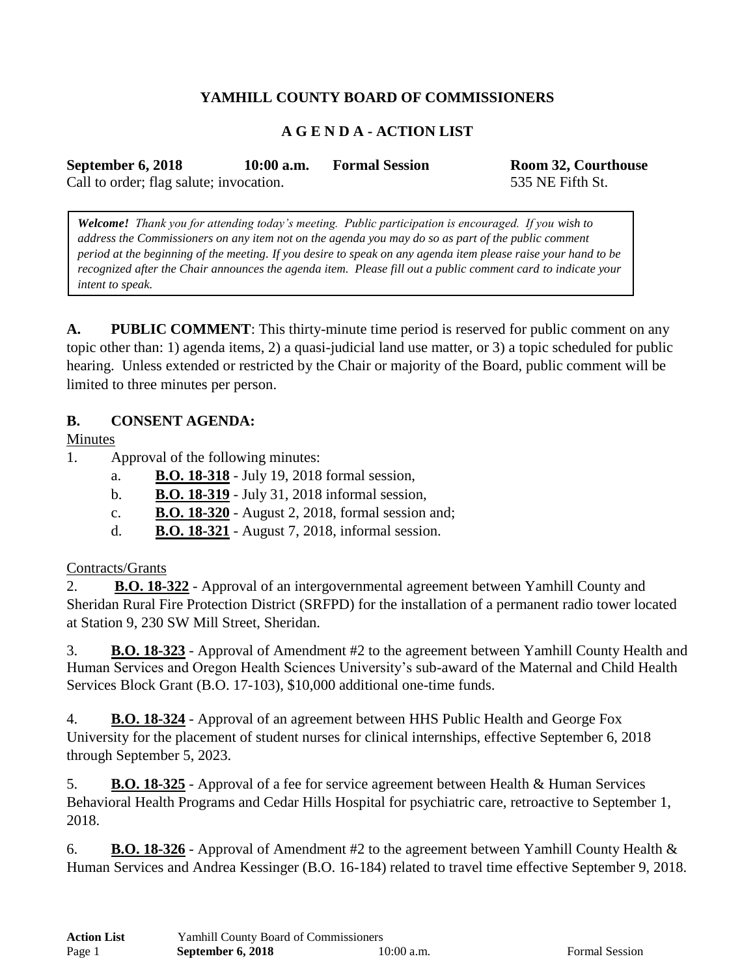# **YAMHILL COUNTY BOARD OF COMMISSIONERS**

# **A G E N D A - ACTION LIST**

**September 6, 2018 10:00 a.m. Formal Session Room 32, Courthouse**

Call to order; flag salute; invocation. 535 NE Fifth St.

*Welcome! Thank you for attending today's meeting. Public participation is encouraged. If you wish to address the Commissioners on any item not on the agenda you may do so as part of the public comment period at the beginning of the meeting. If you desire to speak on any agenda item please raise your hand to be recognized after the Chair announces the agenda item. Please fill out a public comment card to indicate your* 

**A. PUBLIC COMMENT**: This thirty-minute time period is reserved for public comment on any topic other than: 1) agenda items, 2) a quasi-judicial land use matter, or 3) a topic scheduled for public hearing. Unless extended or restricted by the Chair or majority of the Board, public comment will be limited to three minutes per person.

## **B. CONSENT AGENDA:**

Minutes

*intent to speak.*

- 1. Approval of the following minutes:
	- a. **B.O. 18-318** July 19, 2018 formal session,
	- b. **B.O. 18-319** July 31, 2018 informal session,
	- c. **B.O. 18-320** August 2, 2018, formal session and;
	- d. **B.O. 18-321** August 7, 2018, informal session.

#### Contracts/Grants

2. **B.O. 18-322** - Approval of an intergovernmental agreement between Yamhill County and Sheridan Rural Fire Protection District (SRFPD) for the installation of a permanent radio tower located at Station 9, 230 SW Mill Street, Sheridan.

3. **B.O. 18-323** - Approval of Amendment #2 to the agreement between Yamhill County Health and Human Services and Oregon Health Sciences University's sub-award of the Maternal and Child Health Services Block Grant (B.O. 17-103), \$10,000 additional one-time funds.

4. **B.O. 18-324** - Approval of an agreement between HHS Public Health and George Fox University for the placement of student nurses for clinical internships, effective September 6, 2018 through September 5, 2023.

5. **B.O. 18-325** - Approval of a fee for service agreement between Health & Human Services Behavioral Health Programs and Cedar Hills Hospital for psychiatric care, retroactive to September 1, 2018.

6. **B.O. 18-326** - Approval of Amendment #2 to the agreement between Yamhill County Health & Human Services and Andrea Kessinger (B.O. 16-184) related to travel time effective September 9, 2018.